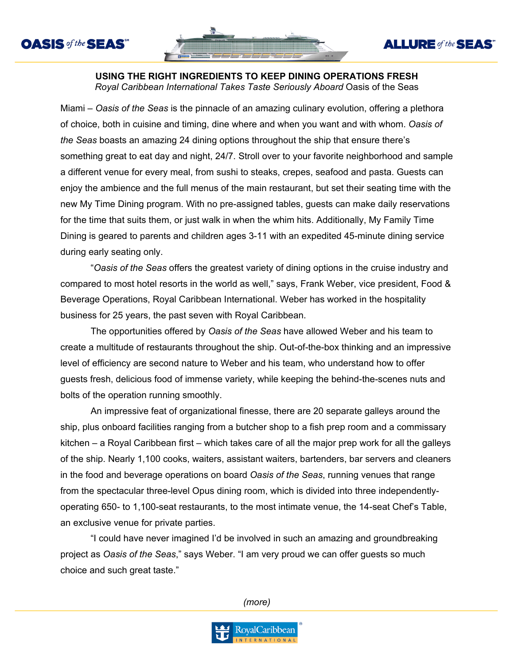



### **USING THE RIGHT INGREDIENTS TO KEEP DINING OPERATIONS FRESH** *Royal Caribbean International Takes Taste Seriously Aboard* Oasis of the Seas

Miami – *Oasis of the Seas* is the pinnacle of an amazing culinary evolution, offering a plethora of choice, both in cuisine and timing, dine where and when you want and with whom. *Oasis of the Seas* boasts an amazing 24 dining options throughout the ship that ensure there's something great to eat day and night, 24/7. Stroll over to your favorite neighborhood and sample a different venue for every meal, from sushi to steaks, crepes, seafood and pasta. Guests can enjoy the ambience and the full menus of the main restaurant, but set their seating time with the new My Time Dining program. With no pre-assigned tables, guests can make daily reservations for the time that suits them, or just walk in when the whim hits. Additionally, My Family Time Dining is geared to parents and children ages 3-11 with an expedited 45-minute dining service during early seating only.

"*Oasis of the Seas* offers the greatest variety of dining options in the cruise industry and compared to most hotel resorts in the world as well," says, Frank Weber, vice president, Food & Beverage Operations, Royal Caribbean International. Weber has worked in the hospitality business for 25 years, the past seven with Royal Caribbean.

The opportunities offered by *Oasis of the Seas* have allowed Weber and his team to create a multitude of restaurants throughout the ship. Out-of-the-box thinking and an impressive level of efficiency are second nature to Weber and his team, who understand how to offer guests fresh, delicious food of immense variety, while keeping the behind-the-scenes nuts and bolts of the operation running smoothly.

An impressive feat of organizational finesse, there are 20 separate galleys around the ship, plus onboard facilities ranging from a butcher shop to a fish prep room and a commissary kitchen – a Royal Caribbean first – which takes care of all the major prep work for all the galleys of the ship. Nearly 1,100 cooks, waiters, assistant waiters, bartenders, bar servers and cleaners in the food and beverage operations on board *Oasis of the Seas*, running venues that range from the spectacular three-level Opus dining room, which is divided into three independentlyoperating 650- to 1,100-seat restaurants, to the most intimate venue, the 14-seat Chef's Table, an exclusive venue for private parties.

"I could have never imagined I'd be involved in such an amazing and groundbreaking project as *Oasis of the Seas*," says Weber. "I am very proud we can offer guests so much choice and such great taste."

*(more)*

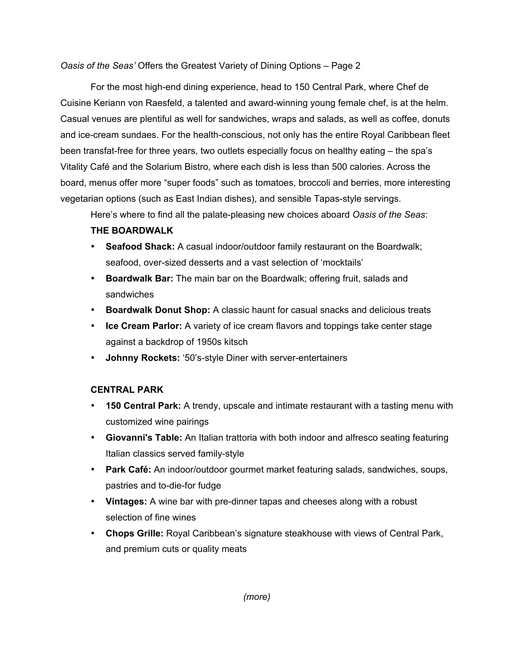*Oasis of the Seas'* Offers the Greatest Variety of Dining Options – Page 2

For the most high-end dining experience, head to 150 Central Park, where Chef de Cuisine Keriann von Raesfeld, a talented and award-winning young female chef, is at the helm. Casual venues are plentiful as well for sandwiches, wraps and salads, as well as coffee, donuts and ice-cream sundaes. For the health-conscious, not only has the entire Royal Caribbean fleet been transfat-free for three years, two outlets especially focus on healthy eating – the spa's Vitality Café and the Solarium Bistro, where each dish is less than 500 calories. Across the board, menus offer more "super foods" such as tomatoes, broccoli and berries, more interesting vegetarian options (such as East Indian dishes), and sensible Tapas-style servings.

Here's where to find all the palate-pleasing new choices aboard *Oasis of the Seas*:

# **THE BOARDWALK**

- **Seafood Shack:** A casual indoor/outdoor family restaurant on the Boardwalk; seafood, over-sized desserts and a vast selection of 'mocktails'
- **Boardwalk Bar:** The main bar on the Boardwalk; offering fruit, salads and sandwiches
- **Boardwalk Donut Shop:** A classic haunt for casual snacks and delicious treats
- **Ice Cream Parlor:** A variety of ice cream flavors and toppings take center stage against a backdrop of 1950s kitsch
- **Johnny Rockets:** '50's-style Diner with server-entertainers

# **CENTRAL PARK**

- **150 Central Park:** A trendy, upscale and intimate restaurant with a tasting menu with customized wine pairings
- **Giovanni's Table:** An Italian trattoria with both indoor and alfresco seating featuring Italian classics served family-style
- **Park Café:** An indoor/outdoor gourmet market featuring salads, sandwiches, soups, pastries and to-die-for fudge
- **Vintages:** A wine bar with pre-dinner tapas and cheeses along with a robust selection of fine wines
- **Chops Grille:** Royal Caribbean's signature steakhouse with views of Central Park, and premium cuts or quality meats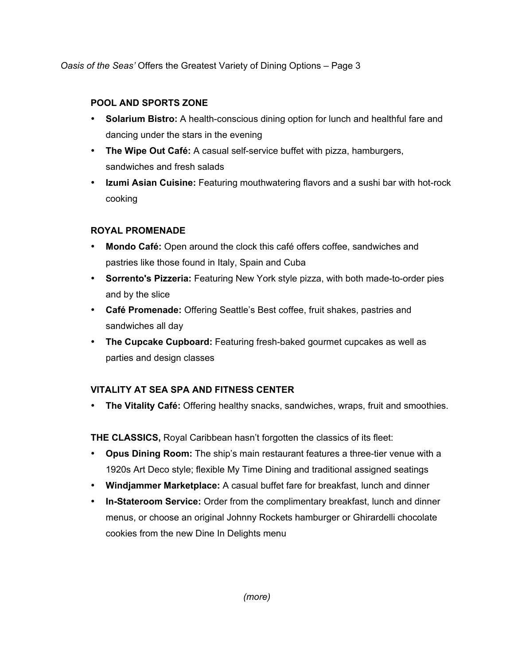*Oasis of the Seas'* Offers the Greatest Variety of Dining Options – Page 3

## **POOL AND SPORTS ZONE**

- **Solarium Bistro:** A health-conscious dining option for lunch and healthful fare and dancing under the stars in the evening
- **The Wipe Out Café:** A casual self-service buffet with pizza, hamburgers, sandwiches and fresh salads
- **Izumi Asian Cuisine:** Featuring mouthwatering flavors and a sushi bar with hot-rock cooking

## **ROYAL PROMENADE**

- **Mondo Café:** Open around the clock this café offers coffee, sandwiches and pastries like those found in Italy, Spain and Cuba
- **Sorrento's Pizzeria:** Featuring New York style pizza, with both made-to-order pies and by the slice
- **Café Promenade:** Offering Seattle's Best coffee, fruit shakes, pastries and sandwiches all day
- **The Cupcake Cupboard:** Featuring fresh-baked gourmet cupcakes as well as parties and design classes

# **VITALITY AT SEA SPA AND FITNESS CENTER**

• **The Vitality Café:** Offering healthy snacks, sandwiches, wraps, fruit and smoothies.

**THE CLASSICS,** Royal Caribbean hasn't forgotten the classics of its fleet:

- **Opus Dining Room:** The ship's main restaurant features a three-tier venue with a 1920s Art Deco style; flexible My Time Dining and traditional assigned seatings
- **Windjammer Marketplace:** A casual buffet fare for breakfast, lunch and dinner
- **In-Stateroom Service:** Order from the complimentary breakfast, lunch and dinner menus, or choose an original Johnny Rockets hamburger or Ghirardelli chocolate cookies from the new Dine In Delights menu